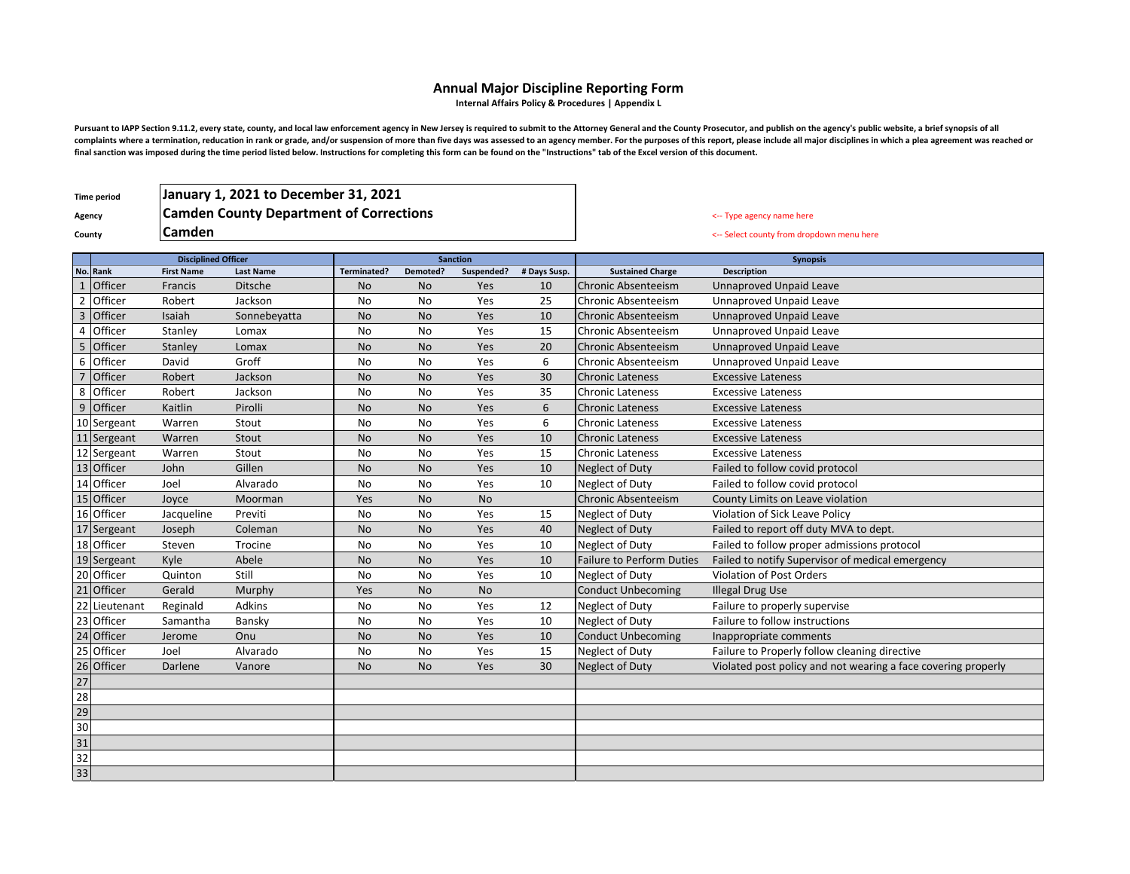## **Annual Major Discipline Reporting Form**

**Internal Affairs Policy & Procedures | Appendix L**

Pursuant to IAPP Section 9.11.2, every state, county, and local law enforcement agency in New Jersey is required to submit to the Attorney General and the County Prosecutor, and publish on the agency's public website, a br complaints where a termination, reducation in rank or grade, and/or suspension of more than five days was assessed to an agency member. For the purposes of this report, please include all major disciplines in which a plea **final sanction was imposed during the time period listed below. Instructions for completing this form can be found on the "Instructions" tab of the Excel version of this document.**

**Time period**

Agency **Camden County Department of Corrections Agency 12 Constant 10** Constant of Corrections **Agency 12 Constant 1 Camden January 1, 2021 to December 31, 2021**

**County Camden Camden Camden Camden County County County County County County County County County County County County County County County County County County County Count** 

|                 |                              | <b>Disciplined Officer</b> |                  | <b>Sanction</b> |           |            |              |                                  | <b>Synopsis</b>                                               |
|-----------------|------------------------------|----------------------------|------------------|-----------------|-----------|------------|--------------|----------------------------------|---------------------------------------------------------------|
|                 | No. Rank                     | <b>First Name</b>          | <b>Last Name</b> | Terminated?     | Demoted?  | Suspended? | # Days Susp. | <b>Sustained Charge</b>          | Description                                                   |
| $\mathbf{1}$    | Officer                      | Francis                    | <b>Ditsche</b>   | No              | <b>No</b> | Yes        | 10           | <b>Chronic Absenteeism</b>       | <b>Unnaproved Unpaid Leave</b>                                |
| $\overline{2}$  | Officer                      | Robert                     | Jackson          | No              | No        | Yes        | 25           | Chronic Absenteeism              | <b>Unnaproved Unpaid Leave</b>                                |
| $\overline{3}$  | Officer                      | Isaiah                     | Sonnebevatta     | No              | <b>No</b> | Yes        | 10           | <b>Chronic Absenteeism</b>       | <b>Unnaproved Unpaid Leave</b>                                |
| $\overline{4}$  | Officer                      | Stanley                    | Lomax            | No              | <b>No</b> | Yes        | 15           | Chronic Absenteeism              | <b>Unnaproved Unpaid Leave</b>                                |
| 5               | Officer                      | Stanley                    | Lomax            | <b>No</b>       | <b>No</b> | Yes        | 20           | <b>Chronic Absenteeism</b>       | <b>Unnaproved Unpaid Leave</b>                                |
| 6               | Officer                      | David                      | Groff            | No              | <b>No</b> | Yes        | 6            | Chronic Absenteeism              | <b>Unnaproved Unpaid Leave</b>                                |
| $\overline{7}$  | Officer                      | Robert                     | Jackson          | <b>No</b>       | <b>No</b> | Yes        | 30           | <b>Chronic Lateness</b>          | <b>Excessive Lateness</b>                                     |
| 8               | Officer                      | Robert                     | Jackson          | No              | No        | Yes        | 35           | <b>Chronic Lateness</b>          | <b>Excessive Lateness</b>                                     |
| $\overline{9}$  | Officer                      | Kaitlin                    | Pirolli          | No              | <b>No</b> | Yes        | 6            | <b>Chronic Lateness</b>          | <b>Excessive Lateness</b>                                     |
|                 | 10 Sergeant                  | Warren                     | Stout            | No              | <b>No</b> | Yes        | 6            | <b>Chronic Lateness</b>          | <b>Excessive Lateness</b>                                     |
|                 | 11 Sergeant                  | Warren                     | Stout            | <b>No</b>       | <b>No</b> | Yes        | 10           | <b>Chronic Lateness</b>          | <b>Excessive Lateness</b>                                     |
|                 | 12 Sergeant                  | Warren                     | Stout            | No              | <b>No</b> | Yes        | 15           | <b>Chronic Lateness</b>          | <b>Excessive Lateness</b>                                     |
|                 | 13 Officer                   | John                       | Gillen           | <b>No</b>       | <b>No</b> | Yes        | 10           | <b>Neglect of Duty</b>           | Failed to follow covid protocol                               |
|                 | 14 Officer                   | Joel                       | Alvarado         | <b>No</b>       | <b>No</b> | Yes        | 10           | <b>Neglect of Duty</b>           | Failed to follow covid protocol                               |
|                 | 15 Officer                   | Joyce                      | Moorman          | Yes             | <b>No</b> | <b>No</b>  |              | <b>Chronic Absenteeism</b>       | County Limits on Leave violation                              |
|                 | 16 Officer                   | Jacqueline                 | Previti          | No              | <b>No</b> | Yes        | 15           | Neglect of Duty                  | Violation of Sick Leave Policy                                |
|                 | 17 Sergeant                  | Joseph                     | Coleman          | No              | <b>No</b> | Yes        | 40           | Neglect of Duty                  | Failed to report off duty MVA to dept.                        |
|                 | 18 Officer                   | Steven                     | Trocine          | No              | No        | Yes        | 10           | <b>Neglect of Duty</b>           | Failed to follow proper admissions protocol                   |
|                 | 19 Sergeant                  | Kyle                       | Abele            | No              | <b>No</b> | Yes        | 10           | <b>Failure to Perform Duties</b> | Failed to notify Supervisor of medical emergency              |
|                 | 20 Officer                   | Quinton                    | Still            | No              | No        | Yes        | 10           | Neglect of Duty                  | <b>Violation of Post Orders</b>                               |
| 21              | Officer                      | Gerald                     | Murphy           | Yes             | <b>No</b> | <b>No</b>  |              | <b>Conduct Unbecoming</b>        | <b>Illegal Drug Use</b>                                       |
| 22              | Lieutenant                   | Reginald                   | <b>Adkins</b>    | No              | No        | Yes        | 12           | Neglect of Duty                  | Failure to properly supervise                                 |
|                 | 23 Officer                   | Samantha                   | Bansky           | No              | No        | Yes        | 10           | Neglect of Duty                  | Failure to follow instructions                                |
|                 | 24 Officer                   | Jerome                     | Onu              | <b>No</b>       | <b>No</b> | Yes        | 10           | <b>Conduct Unbecoming</b>        | Inappropriate comments                                        |
|                 | 25 Officer                   | Joel                       | Alvarado         | No              | <b>No</b> | Yes        | 15           | Neglect of Duty                  | Failure to Properly follow cleaning directive                 |
|                 | 26 Officer<br>27<br>28<br>29 | Darlene                    | Vanore           | No              | <b>No</b> | Yes        | 30           | <b>Neglect of Duty</b>           | Violated post policy and not wearing a face covering properly |
|                 |                              |                            |                  |                 |           |            |              |                                  |                                                               |
|                 |                              |                            |                  |                 |           |            |              |                                  |                                                               |
|                 |                              |                            |                  |                 |           |            |              |                                  |                                                               |
| $\overline{30}$ |                              |                            |                  |                 |           |            |              |                                  |                                                               |
| 31              |                              |                            |                  |                 |           |            |              |                                  |                                                               |
| 32              |                              |                            |                  |                 |           |            |              |                                  |                                                               |
| 33              |                              |                            |                  |                 |           |            |              |                                  |                                                               |